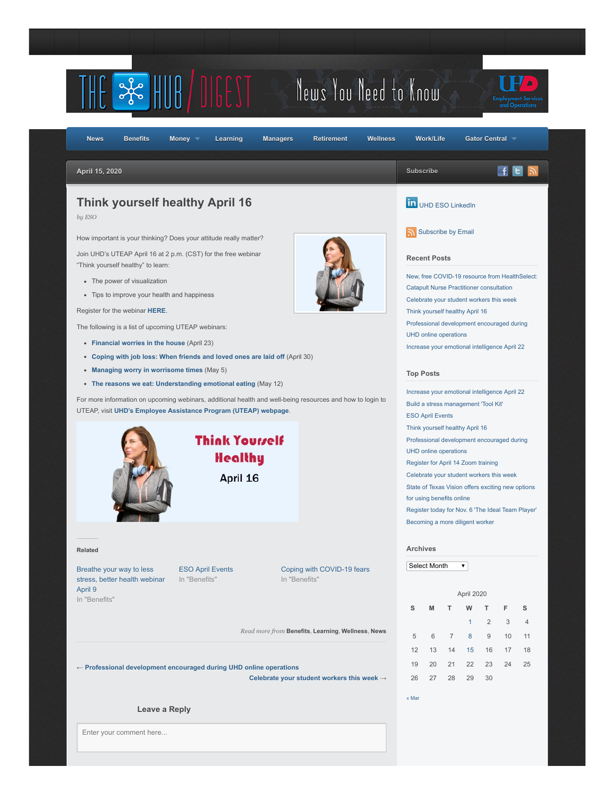